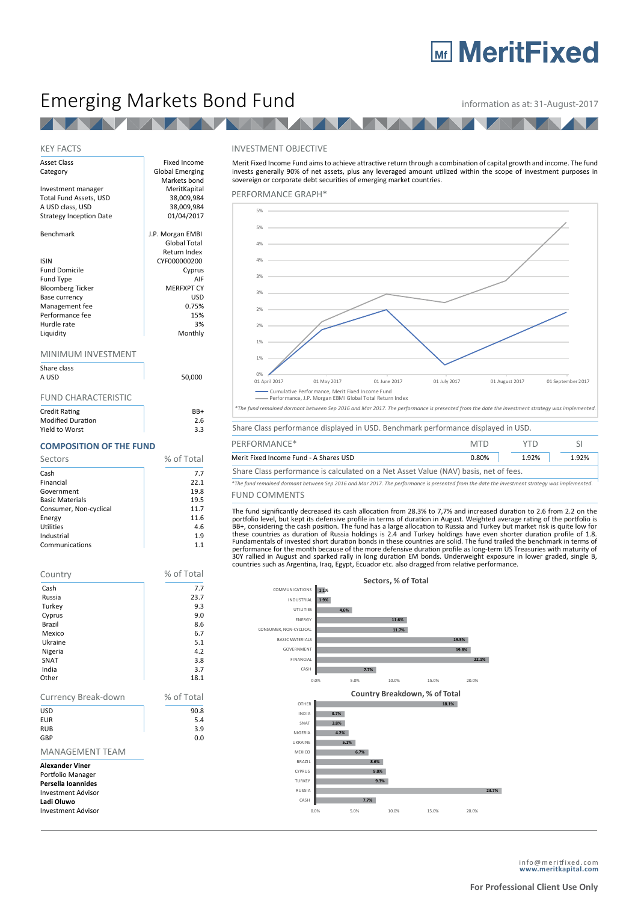## **Mr MeritFixed**

## Emerging Markets Bond Fund **information as at: 31-August-2017**

**AND** 

### KEY FACTS

| <b>Asset Class</b>             | <b>Fixed Income</b>    |
|--------------------------------|------------------------|
| Category                       | <b>Global Emerging</b> |
|                                | Markets bond           |
| Investment manager             | MeritKapital           |
| Total Fund Assets, USD         | 38,009,984             |
| A USD class, USD               | 38,009,984             |
| <b>Strategy Inception Date</b> | 01/04/2017             |
| Benchmark                      | J.P. Morgan EMBI       |
|                                | Global Total           |
|                                | Return Index           |
| <b>ISIN</b>                    | CYF000000200           |
| <b>Fund Domicile</b>           | Cyprus                 |
| <b>Fund Type</b>               | AIF                    |
| <b>Bloomberg Ticker</b>        | <b>MERFXPT CY</b>      |
| Base currency                  | USD                    |
| Management fee                 | 0.75%                  |
| Performance fee                | 15%                    |
| Hurdle rate                    | 3%                     |
| Liquidity                      | Monthly                |
| MINIMUM INVESTMENT             |                        |
| Share class                    |                        |
| A USD                          | 50,000                 |
| FUND CHARACTERISTIC            |                        |

| Credit Rating            | $RR+$ |
|--------------------------|-------|
| <b>Modified Duration</b> | 2.6   |
| Yield to Worst           | 3.3   |

#### **COMPOSITION OF THE FUND**

| % of Total<br>Sectors  |      |  |
|------------------------|------|--|
| Cash                   | 7.7  |  |
| Financial              | 22.1 |  |
| Government             | 19.8 |  |
| <b>Basic Materials</b> | 19.5 |  |
| Consumer, Non-cyclical | 11.7 |  |
| Energy                 | 11.6 |  |
| Utilities              | 4.6  |  |
| Industrial             | 1.9  |  |
| Communications         | 1.1  |  |

| Country                                                                                                                                   | % of Total |
|-------------------------------------------------------------------------------------------------------------------------------------------|------------|
| Cash                                                                                                                                      | 7.7        |
| Russia                                                                                                                                    | 23.7       |
| Turkey                                                                                                                                    | 9.3        |
| Cyprus                                                                                                                                    | 9.0        |
| Brazil                                                                                                                                    | 8.6        |
| Mexico                                                                                                                                    | 6.7        |
| Ukraine                                                                                                                                   | 5.1        |
| Nigeria                                                                                                                                   | 4.2        |
| SNAT<br>India                                                                                                                             | 3.8<br>3.7 |
| Other                                                                                                                                     | 18.1       |
|                                                                                                                                           |            |
| Currency Break-down                                                                                                                       | % of Total |
| USD                                                                                                                                       | 90.8       |
| <b>EUR</b>                                                                                                                                | 5.4        |
| <b>RUB</b>                                                                                                                                | 3.9        |
| GBP                                                                                                                                       | 0.0        |
| <b>MANAGEMENT TEAM</b>                                                                                                                    |            |
| <b>Alexander Viner</b><br>Portfolio Manager<br>Persella Ioannides<br><b>Investment Advisor</b><br>Ladi Oluwo<br><b>Investment Advisor</b> |            |



Merit Fixed Income Fund aims to achieve attractive return through a combination of capital growth and income. The fund invests generally 90% of net assets, plus any leveraged amount utilized within the scope of investment purposes in sovereign or corporate debt securities of emerging market countries.

#### PERFORMANCE GRAPH\*



| PERFORMANCE*                                                                         | <b>MTD</b> | YTD   |       |
|--------------------------------------------------------------------------------------|------------|-------|-------|
| Merit Fixed Income Fund - A Shares USD                                               | 0.80%      | 1.92% | 1.92% |
| Share Class performance is calculated on a Net Asset Value (NAV) basis, net of fees. |            |       |       |

FUND COMMENTS *\*The fund remained dormant between Sep 2016 and Mar 2017. The performance is presented from the date the investment strategy was implemented.*

The fund significantly decreased its cash allocation from 28.3% to 7,7% and increased duration to 2.6 from 2.2 on the portfolio level, but kept its defensive profile in terms of duration in August. Weighted average rating of the portfolio is<br>BB+, considering the cash position. The fund has a large allocation to Russia and Turkey but marke performance for the month because of the more defensive duration profile as long-term US Treasuries with maturity of<br>30Y rallied in August and sparked rally in long duration EM bonds. Underweight exposure in lower graded,